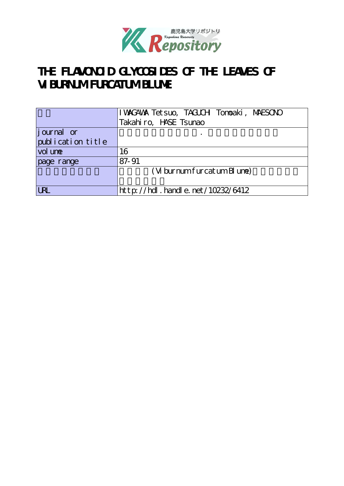

# **THE FLAVONOID GLYCOSIDES OF THE LEAVES OF VIBURNUM FURCATUM BLUME**

|                   | I WAGAWA Tet suo, TAGUCH Tonoaki, MAESONO |
|-------------------|-------------------------------------------|
|                   | Takahiro, HASE Tsunao                     |
| journal or        |                                           |
| publication title |                                           |
| vol une           | 16                                        |
| page range        | 87-91                                     |
|                   | $(W$ burnum furcatum B une)               |
|                   |                                           |
| <b>URL</b>        | http://hdl.handle.net/10232/6412          |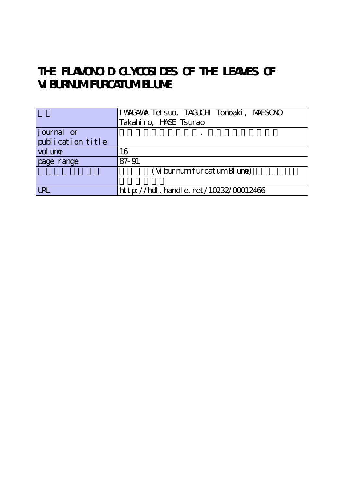# THE FLAVONOID GLYCOSIDES OF THE LEAVES OF **VIBURNUM FURCATUM BLUME**

|                   | I WACAWA Tet suo, TAGUCH Tonoaki, MAESONO  |
|-------------------|--------------------------------------------|
|                   | Takahiro, HASE Tsunao                      |
| journal or        |                                            |
| publication title |                                            |
| vol une           | 16                                         |
| page range        | 87-91                                      |
|                   | $(W$ burnum furcatum B une)                |
|                   |                                            |
| <b>LRL</b>        | ht t p://hdl . handl e. net/10232/00012466 |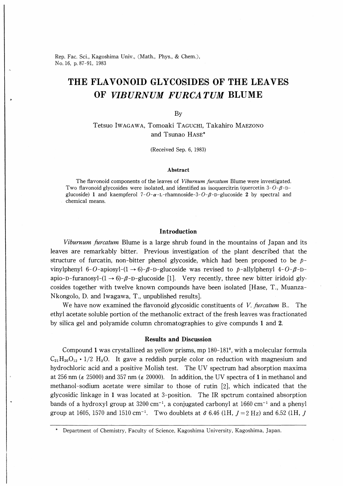Rep. Fac. Sci., Kagoshima Univ., (Math., Phys., & Chem.), No.16, p.87-91, 1983

## THE FLAVONOID GLYCOSIDES OF THE LEAVES OF VIBURNUM FURCA TUM BLUME

By

Tetsuo Iwagawa, Tomoaki Taguchi, Takahiro Maezono and Tsunao Hase\*

(Received Sep. 6, 1983)

#### Abstract

The flavonoid components of the leaves of *Viburnum furcatum* Blume were investigated. Two flavonoid glycosides were isolated, and identified as isoquercitrin (quercetin  $3-O-\beta-D$ glucoside) 1 and kaempferol  $7-O-\alpha$ -L-rhamnoside-3- $O-\beta$ -D-glucoside 2 by spectral and chemical means.

#### Introduction

Viburnum furcatum Blume is a large shrub found in the mountains of Japan and its leaves are remarkably bitter. Previous investigation of the plant described that the structure of furcatin, non-bitter phenol glycoside, which had been proposed to be  $p$ vinylphenyl 6-O-apiosyl-(1  $\rightarrow$  6)- $\beta$ -D-glucoside was revised to  $p$ -allylphenyl 4-O- $\beta$ -Dapio-D-furanosyl- $(1 \rightarrow 6)$ - $\beta$ -D-glucoside [1]. Very recently, three new bitter iridoid glycosides together with twelve known compounds have been isolated [Hase, T., Muanza-Nkongolo, D. and Iwagawa, T., unpublished results].

We have now examined the flavonoid glycosidic constituents of V. furcatum B.. The ethyl acetate soluble portion of the methanolic extract of the fresh leaves was fractionated by silica gel and polyamide column chromatographies to give compunds 1 and 2.

### Results and Discussion

Compound 1 was crystallized as yellow prisms, mp  $180-181^{\circ}$ , with a molecular formula  $C_{21}H_{20}O_{12} \cdot 1/2$  H<sub>2</sub>O. It gave a reddish purple color on reduction with magnesium and hydrochloric acid and a positive Molish test. The UV spectrum had absorption maxima at 256 nm ( $\epsilon$  25000) and 357 nm ( $\epsilon$  20000). In addition, the UV spectra of 1 in methanol and methanol-sodium acetate were similar to those of rutin  $[2]$ , which indicated that the glycosidic linkage in 1 was located at 3-position. The IR spctrum contained absorption bands of a hydroxyl group at  $3200 \text{ cm}^{-1}$ , a conjugated carbonyl at  $1660 \text{ cm}^{-1}$  and a phenyl group at 1605, 1570 and 1510 cm<sup>-1</sup>. Two doublets at  $\delta$  6.46 (1H,  $J = 2$  Hz) and 6.52 (1H,  $J$ 

Department of Chemistry, Faculty of Science, Kagoshima University, Kagoshima, Japan.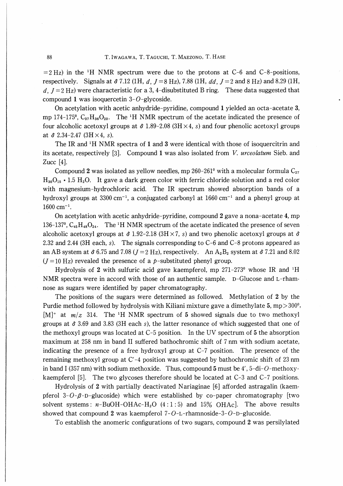$=2$  Hz) in the <sup>1</sup>H NMR spectrum were due to the protons at C-6 and C-8-positions, respectively. Signals at  $\delta$  7.12 (1H, d, J = 8 Hz), 7.88 (1H, dd, J = 2 and 8 Hz) and 8.29 (1H, d,  $J = 2$  Hz) were characteristic for a 3, 4-disubstituted B ring. These data suggested that compound 1 was isoquercetin  $3-O$ -glycoside.

On acetylation with acetic anhydride-pyridine, compound 1 yielded an octa-acetate 3, mp 174-175°,  $C_{37}H_{36}O_{20}$ . The <sup>1</sup>H NMR spectrum of the acetate indicated the presence of four alcoholic acetoxyl groups at  $\delta$  1.89-2.08 (3H  $\times$  4, s) and four phenolic acetoxyl groups at  $\delta$  2.34-2.47 (3H  $\times$  4, s).

The IR and  $H$  NMR spectra of 1 and 3 were identical with those of isoquercitrin and its acetate, respectively  $[3]$ . Compound 1 was also isolated from V, *urceolatum* Sieb. and Zucc [4J.

Compound 2 was isolated as yellow needles, mp  $260-261^{\circ}$  with a molecular formula  $C_{27}$  $H_{30}O_{15}$  • 1.5 H<sub>2</sub>O. It gave a dark green color with ferric chloride solution and a red color with magnesium-hydrochloric acid. The IR spectrum showed absorption bands of a hydroxyl groups at 3300 cm<sup>-1</sup>, a conjugated carbonyl at  $1660 \text{ cm}^{-1}$  and a phenyl group at  $1600$  cm<sup>-1</sup>.

0n acetylation with acetic anhydride-pyridine, compound 2 gave a nona-acetate 4, mp 136-137°,  $C_{45}H_{48}O_{24}$ . The <sup>1</sup>H NMR spectrum of the acetate indicated the presence of seven alcoholic acetoxyl groups at  $\delta$  1.92-2.18 (3H × 7, s) and two phenolic acetoxyl groups at  $\delta$ 2.32 and 2.44 (3H each, s). The signals corresponding to C-6 and C-8 protons appeared as an AB system at  $\delta$  6.75 and 7.08 ( $J = 2$  Hz), respectively. An A<sub>2</sub>B<sub>2</sub> system at  $\delta$  7.21 and 8.02  $(J=10 \text{ Hz})$  revealed the presence of a p-substituted phenyl group.

Hydrolysis of 2 with sulfuric acid gave kaempferol, mp  $271-273^{\circ}$  whose IR and <sup>1</sup>H NMR spectra were in accord with those of an authentic sample. D-Glucose and L-rhamnose as sugars were identified by paper chromatography.

The positions of the sugars were determined as followed. Methylation of 2 by the Purdie method followed by hydrolysis with Kiliani mixture gave a dimethylate 5, mp $>$ 300<sup>0</sup>,  $[M]^+$  at  $m/z$  314. The <sup>1</sup>H NMR spectrum of 5 showed signals due to two methoxyl groups at  $\delta$  3.69 and 3.83 (3H each s), the latter resonance of which suggested that one of the methoxyl groups was located at C-5 position. In the UV spectrum of 5 the absorption maximum at 258 nm in band II suffered bathochromic shift of 7 nm with sodium acetate, indicating the presence of a free hydroxyl group at C-7 position. The presence of the remaining methoxyl group at C′-4 position was suggested by bathochromic shift of 23 nm in band I (357 nm) with sodium methoxide. Thus, compound 5 must be  $4'$ , 5-di-O-methoxykaempferol [5]. The two glycoses therefore should be located at  $C-3$  and  $C-7$  positions.

Hydrolysis of 2 with partially deactivated Nariaginae [6] afforded astragalin (kaempferol 3-O- $\beta$ -D-glucoside) which were established by co-paper chromatography [two solvent systems:  $n-\text{BuOH}-\text{OHAc}-\text{H}_2\text{O}$  (4:1:5) and 15% OHAc]. The above results showed that compound 2 was kaempferol  $7-O-L-r$ hamnoside-3- $O-D-g$ lucoside.

To establish the anomeric configurations of two sugars, compound 2 was persilylated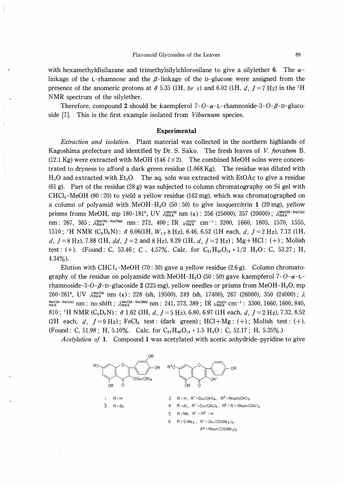with hexamethyldisilazane and trimethylsilylchlorosilane to give a silylether 6. The  $\alpha$ linkage of the L-rhamnose and the  $\beta$ -linkage of the D-glucose were assigned from the presence of the anomeric protons at  $\delta$  5.35 (1H, br s) and 6.02 (1H, d, J = 7 Hz) in the <sup>1</sup>H NMR spectrum of the silylether.

Therefore, compound 2 should be kaempferol  $7 - 0 - \alpha - L$ -rhamnoside-3- $0 - \beta - D$ -glucoside [7]. This is the first example isolated from *Viburnum* species.

#### Experimental

Extraction and isolation. Plant material was collected in the northern highlands of Kagoshima prefecture and identified by Dr. S. Sako. The fresh leaves of V. furcatum B. (12.1 Kg) were extracted with MeOH (146  $l \times 2$ ). The combined MeOH solns were concentrated to dryness to afford a dark green residue  $(1.068 \text{ Kg})$ . The residue was diluted with  $H<sub>2</sub>O$  and extracted with  $Et<sub>2</sub>O$ . The aq. soln was extracted with EtOAc to give a residue (61 g). Part of the residue (28 g) was subjected to column chromatography on Si gel with CHCl<sub>3</sub>-MeOH (80 : 20) to yield a yellow residue (162 mg), which was chromatographed on a column of polyamid with MeOH-H<sub>2</sub>O (50:50) to give isoquercitrin 1 (20 mg), yellow prisms froms MeOH, mp 180-181<sup>o</sup>, UV  $\lambda_{\text{max}}^{\text{MeOH}}$  nm ( $\varepsilon$ ): 256 (25000), 357 (20000);  $\lambda_{\text{max}}^{\text{MeOH-NaOAc}}$ nm: 267, 365;  $\lambda_{\text{max}}^{\text{MeOH-NaOMe}}$  nm: 272, 400; IR  $\nu_{\text{max}}^{\text{nuiol}}$  cm<sup>-1</sup>: 3200, 1660, 1605, 1570, 1555, 1510; H NMR  $(C_5D_5N)$ :  $\delta$  6.06(1H,  $W_{1/2}$  8 Hz), 6.46, 6.52 (1H each, d,  $J=2$  Hz), 7.12 (1H, d,  $J=8$  Hz), 7.88 (1H, dd,  $J=2$  and 8 Hz), 8.29 (1H, d,  $J=2$  Hz); Mg+HCl: (+); Molish test: (+). (Found: C, 53.46; C, 4.57%. Calc. for  $C_{21}H_{20}O_{12} \cdot 1/2$   $H_2O$ : C, 53.27; H, 4.34%).

Elution with CHCl<sub>3</sub>-MeOH (70 : 30) gave a yellow residue (2.6 g). Column chromatography of the residue on polyamide with MeOH-H<sub>2</sub>O (50:50) gave kaempferol 7-O- $\alpha$ -Lrhamnoside-3-O- $\beta$ -D-glucoside 2 (225 mg), yellow needles or prisms from MeOH-H<sub>2</sub>O, mp 260-261°, UV  $\lambda_{\text{max}}^{\text{MeOH}}$  nm ( $\varepsilon$ ): 228 (sh, 19500), 249 (sh, 17400), 267 (26000), 350 (24000);  $\lambda$  $\frac{\text{MeOH-NaOAc}}{\text{max}}$  nm : no shift ;  $\lambda_{\text{max}}^{\text{MeOH-NaOMe}}$  nm : 241, 273, 389 ; IR  $\nu_{\text{max}}^{\text{nuol}}$  cm<sup>-1</sup> : 3300, 1660, 1600, 840, 810; 'H NMR  $(C_5D_5N)$ :  $\delta$  1.62 (3H, d,  $J = 5$  Hz), 6.80, 6.97 (1H each, d,  $J = 2$  Hz), 7.32, 8.52 (2H each, d,  $J=9$  Hz); FeCl<sub>3</sub> test: (dark green); HCl+Mg: (+); Molish test: (+). (Found: C, 51.98; H, 5.10%. Calc. for  $C_{27}H_{30}O_{15} \cdot 1.5 H_2O$ : C, 52.17; H, 5.35%.)

Acetylation of 1. Compound 1 was acetylated with acetic anhydride-pyridine to give

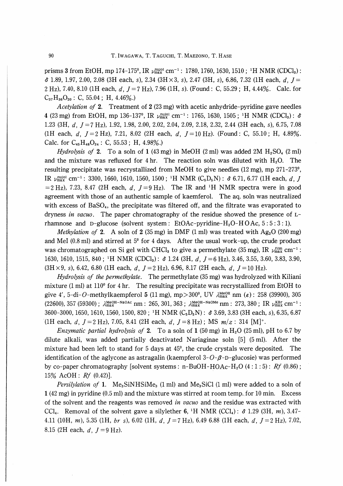prisms 3 from EtOH, mp 174-175°, IR  $\mu_{\text{max}}^{\text{nuol}}$  cm<sup>-1</sup>: 1780, 1760, 1630, 1510;<sup>1</sup>H NMR (CDCl<sub>3</sub>):  $\delta$  1.89, 1.97, 2.00, 2.08 (3H each, s), 2.34 (3H × 3, s), 2.47 (3H, s), 6.86, 7.32 (1H each, d, J = 2 Hz), 7.40, 8.10 (1H each, d,  $J = 7$  Hz), 7.96 (1H, s). (Found: C, 55.29; H, 4.44%. Calc. for  $C_{37}H_{36}O_{20}$ : C, 55.04; H, 4.46%.)

Acetylation of 2. Treatment of 2 (23 mg) with acetic anhydride-pyridine gave needles 4 (23 mg) from EtOH, mp 136-137°, IR  $\nu_{\text{max}}^{\text{nuol}}$  cm<sup>-1</sup>: 1765, 1630, 1505; <sup>1</sup>H NMR (CDCl<sub>3</sub>):  $\delta$ 1.23 (3H, d,  $J = 7$  Hz), 1.92, 1.98, 2.00, 2.02, 2.04, 2.09, 2.18, 2.32, 2.44 (3H each, s), 6.75, 7.08 (1Heach, d,  $J=2$  Hz), 7.21, 8.02 (2Heach, d,  $J=10$  Hz). (Found: C, 55.10; H, 4.89%. Calc. for  $C_{45}H_{48}O_{24}$ : C, 55.53; H, 4.98%.)

*Hydrolysis of* 2. To a soln of 1 (43 mg) in MeOH (2 ml) was added 2M  $H_2SO_4$  (2 ml) and the mixture was refluxed for 4 hr. The reaction soln was diluted with  $H_2O$ . The resulting precipitate was recrystallized from MeOH to give needles (12 mg), mp 271-273<sup>o</sup>, IR  $\nu_{\text{max}}^{\text{nuiol}}$  cm<sup>-1</sup>: 3300, 1660, 1610, 1560, 1500; <sup>1</sup>H NMR (C<sub>5</sub>D<sub>5</sub>N):  $\delta$  6.71, 6.77 (1H each, d, J  $=2$  Hz), 7.23, 8.47 (2H each, d,  $J=9$  Hz). The IR and <sup>1</sup>H NMR spectra were in good agreement with those of an authentic sample of kaemferol. The aq. soln was neutralized with excess of BaSO<sub>4</sub>, the precipitate was filtered off, and the filtrate was evaporated to dryness in vacuo. The paper chromatography of the residue showed the presence of  $L$ rhamnose and D-glucose (solvent system: EtOAc-pyridine-H<sub>2</sub>O-HOAc,  $5:5:3:1$ ).

*Methylation of* 2. A soln of 2 (35 mg) in DMF (1 ml) was treated with  $Ag_2O(200 \text{ mg})$ and MeI  $(0.8 \text{ ml})$  and stirred at  $5^{\circ}$  for 4 days. After the usual work-up, the crude product was chromatographed on Si gel with CHCl<sub>3</sub> to give a permethylate (35 mg), IR  $\nu_{\text{max}}^{\text{film}}$  cm<sup>-1</sup>: 1630, 1610, 1515, 840; <sup>1</sup>H NMR (CDCl<sub>3</sub>):  $\delta$  1.24 (3H, d, J = 6 Hz), 3.46, 3.55, 3.60, 3.83, 3.90,  $(3H \times 9, s)$ , 6.42, 6.80 (1H each, d,  $J = 2 Hz$ ), 6.96, 8.17 (2H each, d,  $J = 10 Hz$ ).

Hydrolysis of the permethylate. The permethylate (35 mg) was hydrolyzed with Kiliani mixture (1 ml) at  $110^{\circ}$  for 4 hr. The resulting precipitate was recrystallized from EtOH to give 4', 5-di-O-methylkaempferol 5 (11 mg), mp > 300°, UV  $\lambda_{\text{max}}^{\text{MeOH}}$  nm ( $\varepsilon$ ): 258 (39900), 305 (22600), 357 (59300);  $\lambda_{\text{max}}^{\text{MeOH-NaOAc}}$  nm: 265, 301, 363;  $\lambda_{\text{max}}^{\text{MeOH-NaOMe}}$  nm: 273, 380; IR  $\nu_{\text{max}}^{\text{KBr}}$  cm<sup>-1</sup>: 3600-3000, 1650, 1610, 1560, 1500, 820; <sup>1</sup>H NMR (C<sub>5</sub>D<sub>5</sub>N):  $\delta$  3.69, 3.83 (3H each, s), 6.35, 6.87 (1Heach, d,  $J = 2$  Hz), 7.05, 8.41 (2Heach, d,  $J = 8$  Hz); MS  $m/z$ : 314 [M]<sup>+</sup>.

*Enzymatic partial hydrolysis of* 2. To a soln of 1 (50 mg) in H<sub>2</sub>O (25 ml), pH to 6.7 by dilute alkali, was added partially deactivated Nariaginae soln [5] (5 ml). After the mixture had been left to stand for 5 days at  $45^{\circ}$ , the crude crystals were deposited. The identification of the aglycone as astragalin (kaempferol  $3-O$ - $\beta$ -D-glucosie) was performed by co-paper chromatography [solvent systems: n-BuOH-HOAc-H<sub>2</sub>O  $(4:1:5)$ : Rf  $(0.86)$ ; 15% AcOH:  $Rf(0.42)$ ].

*Persilylation of* 1. Me<sub>3</sub>SiNHSiMe<sub>3</sub> (1 ml) and Me<sub>3</sub>SiCl (1 ml) were added to a soln of  $1(42 \text{ mg})$  in pyridine (0.5 ml) and the mixture was stirred at room temp, for 10 min. Excess of the solvent and the reagents was removed in vacuo and the residue was extracted with CCl<sub>4</sub>. Removal of the solvent gave a silylether 6, <sup>1</sup>H NMR (CCl<sub>4</sub>):  $\delta$  1.29 (3H, m), 3.47-4.11 (10H, m), 5.35 (1H, br s), 6.02 (1H, d,  $J = 7$  Hz), 6.49 6.88 (1H each, d,  $J = 2$  Hz), 7.02, 8.15(2H each,  $d$ ,  $J=9$  Hz).